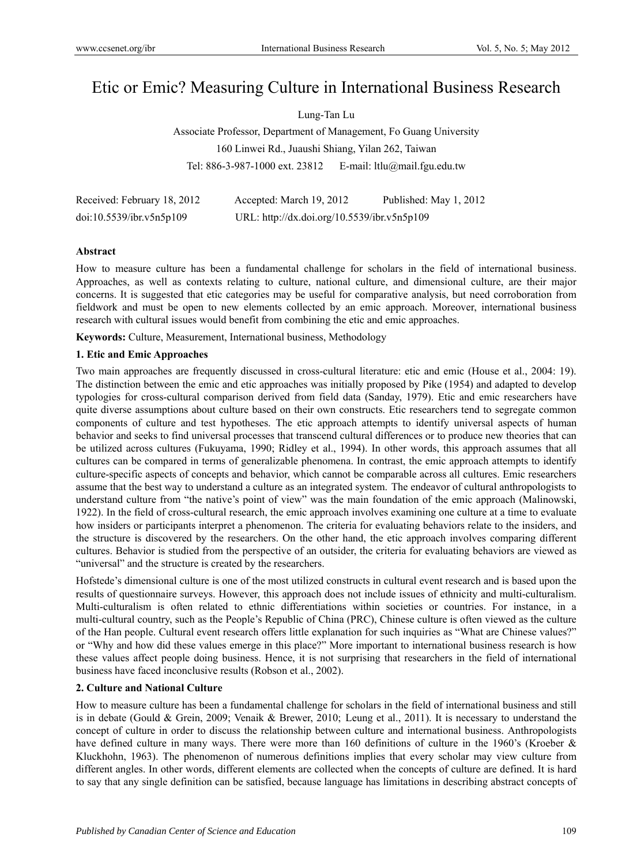# Etic or Emic? Measuring Culture in International Business Research

Lung-Tan Lu

Associate Professor, Department of Management, Fo Guang University 160 Linwei Rd., Juaushi Shiang, Yilan 262, Taiwan Tel: 886-3-987-1000 ext. 23812 E-mail: ltlu@mail.fgu.edu.tw

| Received: February 18, 2012 | Accepted: March 19, 2012                    | Published: May 1, 2012 |
|-----------------------------|---------------------------------------------|------------------------|
| doi:10.5539/ibr.v5n5p109    | URL: http://dx.doi.org/10.5539/ibr.v5n5p109 |                        |

# **Abstract**

How to measure culture has been a fundamental challenge for scholars in the field of international business. Approaches, as well as contexts relating to culture, national culture, and dimensional culture, are their major concerns. It is suggested that etic categories may be useful for comparative analysis, but need corroboration from fieldwork and must be open to new elements collected by an emic approach. Moreover, international business research with cultural issues would benefit from combining the etic and emic approaches.

**Keywords:** Culture, Measurement, International business, Methodology

# **1. Etic and Emic Approaches**

Two main approaches are frequently discussed in cross-cultural literature: etic and emic (House et al., 2004: 19). The distinction between the emic and etic approaches was initially proposed by Pike (1954) and adapted to develop typologies for cross-cultural comparison derived from field data (Sanday, 1979). Etic and emic researchers have quite diverse assumptions about culture based on their own constructs. Etic researchers tend to segregate common components of culture and test hypotheses. The etic approach attempts to identify universal aspects of human behavior and seeks to find universal processes that transcend cultural differences or to produce new theories that can be utilized across cultures (Fukuyama, 1990; Ridley et al., 1994). In other words, this approach assumes that all cultures can be compared in terms of generalizable phenomena. In contrast, the emic approach attempts to identify culture-specific aspects of concepts and behavior, which cannot be comparable across all cultures. Emic researchers assume that the best way to understand a culture as an integrated system. The endeavor of cultural anthropologists to understand culture from "the native's point of view" was the main foundation of the emic approach (Malinowski, 1922). In the field of cross-cultural research, the emic approach involves examining one culture at a time to evaluate how insiders or participants interpret a phenomenon. The criteria for evaluating behaviors relate to the insiders, and the structure is discovered by the researchers. On the other hand, the etic approach involves comparing different cultures. Behavior is studied from the perspective of an outsider, the criteria for evaluating behaviors are viewed as "universal" and the structure is created by the researchers.

Hofstede's dimensional culture is one of the most utilized constructs in cultural event research and is based upon the results of questionnaire surveys. However, this approach does not include issues of ethnicity and multi-culturalism. Multi-culturalism is often related to ethnic differentiations within societies or countries. For instance, in a multi-cultural country, such as the People's Republic of China (PRC), Chinese culture is often viewed as the culture of the Han people. Cultural event research offers little explanation for such inquiries as "What are Chinese values?" or "Why and how did these values emerge in this place?" More important to international business research is how these values affect people doing business. Hence, it is not surprising that researchers in the field of international business have faced inconclusive results (Robson et al., 2002).

# **2. Culture and National Culture**

How to measure culture has been a fundamental challenge for scholars in the field of international business and still is in debate (Gould & Grein, 2009; Venaik & Brewer, 2010; Leung et al., 2011). It is necessary to understand the concept of culture in order to discuss the relationship between culture and international business. Anthropologists have defined culture in many ways. There were more than 160 definitions of culture in the 1960's (Kroeber & Kluckhohn, 1963). The phenomenon of numerous definitions implies that every scholar may view culture from different angles. In other words, different elements are collected when the concepts of culture are defined. It is hard to say that any single definition can be satisfied, because language has limitations in describing abstract concepts of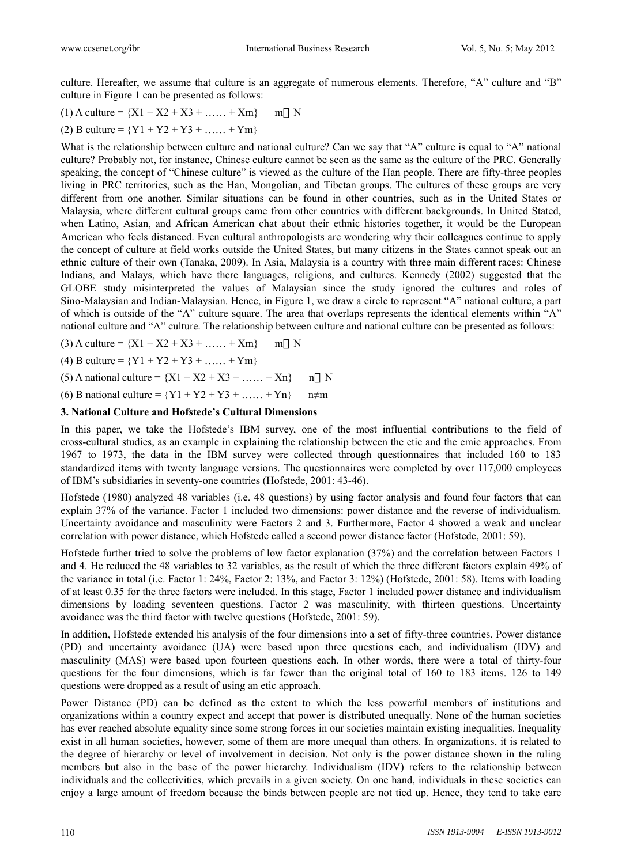culture. Hereafter, we assume that culture is an aggregate of numerous elements. Therefore, "A" culture and "B" culture in Figure 1 can be presented as follows:

(1) A culture =  ${X1 + X2 + X3 + \ldots + Xm}$  m N

(2) B culture =  ${Y1 + Y2 + Y3 + \ldots + Ym}$ 

What is the relationship between culture and national culture? Can we say that "A" culture is equal to "A" national culture? Probably not, for instance, Chinese culture cannot be seen as the same as the culture of the PRC. Generally speaking, the concept of "Chinese culture" is viewed as the culture of the Han people. There are fifty-three peoples living in PRC territories, such as the Han, Mongolian, and Tibetan groups. The cultures of these groups are very different from one another. Similar situations can be found in other countries, such as in the United States or Malaysia, where different cultural groups came from other countries with different backgrounds. In United Stated, when Latino, Asian, and African American chat about their ethnic histories together, it would be the European American who feels distanced. Even cultural anthropologists are wondering why their colleagues continue to apply the concept of culture at field works outside the United States, but many citizens in the States cannot speak out an ethnic culture of their own (Tanaka, 2009). In Asia, Malaysia is a country with three main different races: Chinese Indians, and Malays, which have there languages, religions, and cultures. Kennedy (2002) suggested that the GLOBE study misinterpreted the values of Malaysian since the study ignored the cultures and roles of Sino-Malaysian and Indian-Malaysian. Hence, in Figure 1, we draw a circle to represent "A" national culture, a part of which is outside of the "A" culture square. The area that overlaps represents the identical elements within "A" national culture and "A" culture. The relationship between culture and national culture can be presented as follows:

(3) A culture =  ${X1 + X2 + X3 + \ldots + Xm}$  m N

(4) B culture =  ${Y1 + Y2 + Y3 + \ldots + Ym}$ 

(5) A national culture =  ${X1 + X2 + X3 + \ldots + Xn}$  n N

(6) B national culture =  ${Y1 + Y2 + Y3 + \ldots + Yn}$  n≠m

#### **3. National Culture and Hofstede's Cultural Dimensions**

In this paper, we take the Hofstede's IBM survey, one of the most influential contributions to the field of cross-cultural studies, as an example in explaining the relationship between the etic and the emic approaches. From 1967 to 1973, the data in the IBM survey were collected through questionnaires that included 160 to 183 standardized items with twenty language versions. The questionnaires were completed by over 117,000 employees of IBM's subsidiaries in seventy-one countries (Hofstede, 2001: 43-46).

Hofstede (1980) analyzed 48 variables (i.e. 48 questions) by using factor analysis and found four factors that can explain 37% of the variance. Factor 1 included two dimensions: power distance and the reverse of individualism. Uncertainty avoidance and masculinity were Factors 2 and 3. Furthermore, Factor 4 showed a weak and unclear correlation with power distance, which Hofstede called a second power distance factor (Hofstede, 2001: 59).

Hofstede further tried to solve the problems of low factor explanation (37%) and the correlation between Factors 1 and 4. He reduced the 48 variables to 32 variables, as the result of which the three different factors explain 49% of the variance in total (i.e. Factor 1: 24%, Factor 2: 13%, and Factor 3: 12%) (Hofstede, 2001: 58). Items with loading of at least 0.35 for the three factors were included. In this stage, Factor 1 included power distance and individualism dimensions by loading seventeen questions. Factor 2 was masculinity, with thirteen questions. Uncertainty avoidance was the third factor with twelve questions (Hofstede, 2001: 59).

In addition, Hofstede extended his analysis of the four dimensions into a set of fifty-three countries. Power distance (PD) and uncertainty avoidance (UA) were based upon three questions each, and individualism (IDV) and masculinity (MAS) were based upon fourteen questions each. In other words, there were a total of thirty-four questions for the four dimensions, which is far fewer than the original total of 160 to 183 items. 126 to 149 questions were dropped as a result of using an etic approach.

Power Distance (PD) can be defined as the extent to which the less powerful members of institutions and organizations within a country expect and accept that power is distributed unequally. None of the human societies has ever reached absolute equality since some strong forces in our societies maintain existing inequalities. Inequality exist in all human societies, however, some of them are more unequal than others. In organizations, it is related to the degree of hierarchy or level of involvement in decision. Not only is the power distance shown in the ruling members but also in the base of the power hierarchy. Individualism (IDV) refers to the relationship between individuals and the collectivities, which prevails in a given society. On one hand, individuals in these societies can enjoy a large amount of freedom because the binds between people are not tied up. Hence, they tend to take care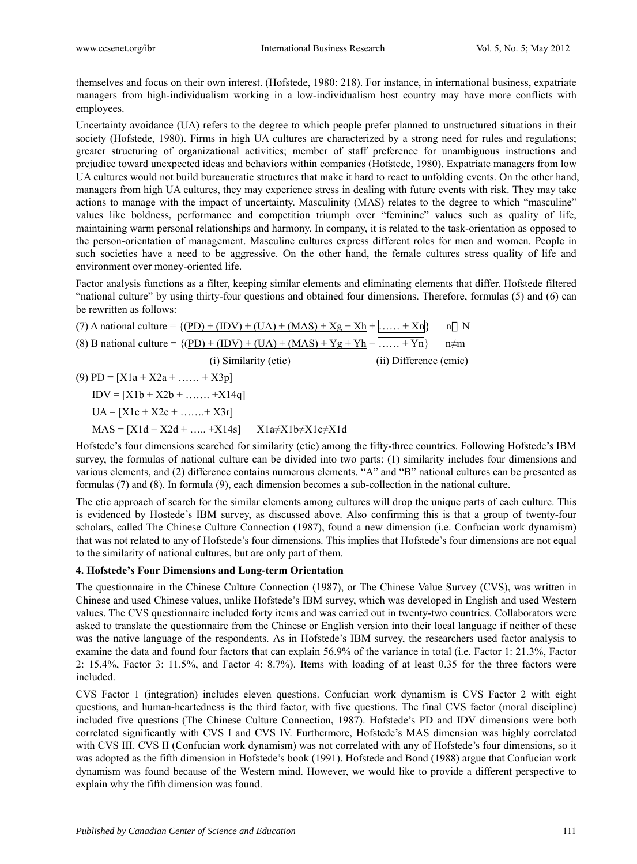themselves and focus on their own interest. (Hofstede, 1980: 218). For instance, in international business, expatriate managers from high-individualism working in a low-individualism host country may have more conflicts with employees.

Uncertainty avoidance (UA) refers to the degree to which people prefer planned to unstructured situations in their society (Hofstede, 1980). Firms in high UA cultures are characterized by a strong need for rules and regulations; greater structuring of organizational activities; member of staff preference for unambiguous instructions and prejudice toward unexpected ideas and behaviors within companies (Hofstede, 1980). Expatriate managers from low UA cultures would not build bureaucratic structures that make it hard to react to unfolding events. On the other hand, managers from high UA cultures, they may experience stress in dealing with future events with risk. They may take actions to manage with the impact of uncertainty. Masculinity (MAS) relates to the degree to which "masculine" values like boldness, performance and competition triumph over "feminine" values such as quality of life, maintaining warm personal relationships and harmony. In company, it is related to the task-orientation as opposed to the person-orientation of management. Masculine cultures express different roles for men and women. People in such societies have a need to be aggressive. On the other hand, the female cultures stress quality of life and environment over money-oriented life.

Factor analysis functions as a filter, keeping similar elements and eliminating elements that differ. Hofstede filtered "national culture" by using thirty-four questions and obtained four dimensions. Therefore, formulas (5) and (6) can be rewritten as follows:

(7) A national culture =  ${(PD)+(IDV)+(UA)+(MAS)+Xg+Xh+|......+Xn]}$  n N (8) B national culture =  ${(PD)+(IDV)+(UA)+(MAS)+Yg+Yh+|......+Yn]$  n≠m (i) Similarity (etic) (ii) Difference (emic) (9) PD =  $[X1a + X2a + \ldots + X3p]$  $IDV = [X1b + X2b + ... + X14q]$  $UA = [X1c + X2c + \dots + X3r]$  $MAS = [X1d + X2d + ... + X14s]$   $X1a \neq X1b \neq X1c \neq X1d$ 

Hofstede's four dimensions searched for similarity (etic) among the fifty-three countries. Following Hofstede's IBM survey, the formulas of national culture can be divided into two parts: (1) similarity includes four dimensions and various elements, and (2) difference contains numerous elements. "A" and "B" national cultures can be presented as formulas (7) and (8). In formula (9), each dimension becomes a sub-collection in the national culture.

The etic approach of search for the similar elements among cultures will drop the unique parts of each culture. This is evidenced by Hostede's IBM survey, as discussed above. Also confirming this is that a group of twenty-four scholars, called The Chinese Culture Connection (1987), found a new dimension (i.e. Confucian work dynamism) that was not related to any of Hofstede's four dimensions. This implies that Hofstede's four dimensions are not equal to the similarity of national cultures, but are only part of them.

# **4. Hofstede's Four Dimensions and Long-term Orientation**

The questionnaire in the Chinese Culture Connection (1987), or The Chinese Value Survey (CVS), was written in Chinese and used Chinese values, unlike Hofstede's IBM survey, which was developed in English and used Western values. The CVS questionnaire included forty items and was carried out in twenty-two countries. Collaborators were asked to translate the questionnaire from the Chinese or English version into their local language if neither of these was the native language of the respondents. As in Hofstede's IBM survey, the researchers used factor analysis to examine the data and found four factors that can explain 56.9% of the variance in total (i.e. Factor 1: 21.3%, Factor 2: 15.4%, Factor 3: 11.5%, and Factor 4: 8.7%). Items with loading of at least 0.35 for the three factors were included.

CVS Factor 1 (integration) includes eleven questions. Confucian work dynamism is CVS Factor 2 with eight questions, and human-heartedness is the third factor, with five questions. The final CVS factor (moral discipline) included five questions (The Chinese Culture Connection, 1987). Hofstede's PD and IDV dimensions were both correlated significantly with CVS I and CVS IV. Furthermore, Hofstede's MAS dimension was highly correlated with CVS III. CVS II (Confucian work dynamism) was not correlated with any of Hofstede's four dimensions, so it was adopted as the fifth dimension in Hofstede's book (1991). Hofstede and Bond (1988) argue that Confucian work dynamism was found because of the Western mind. However, we would like to provide a different perspective to explain why the fifth dimension was found.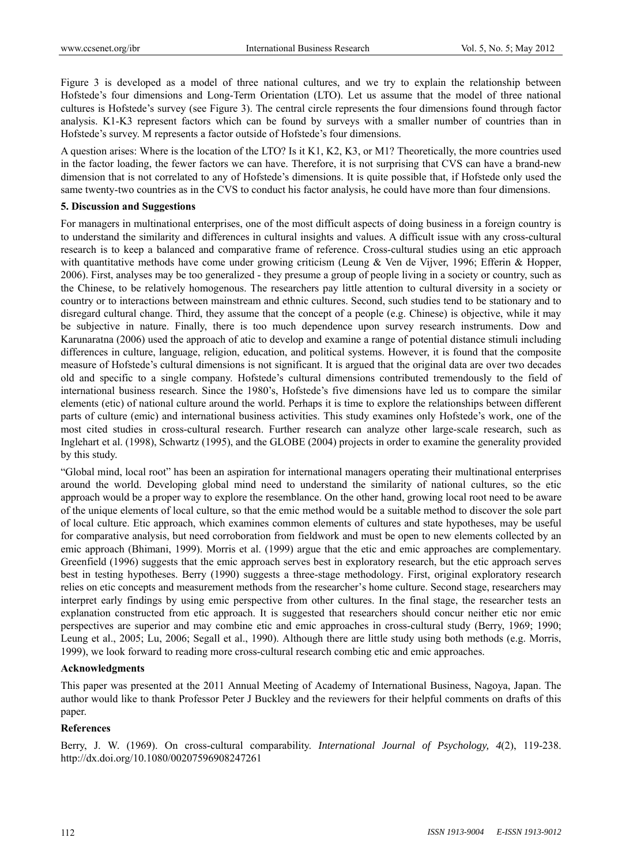Figure 3 is developed as a model of three national cultures, and we try to explain the relationship between Hofstede's four dimensions and Long-Term Orientation (LTO). Let us assume that the model of three national cultures is Hofstede's survey (see Figure 3). The central circle represents the four dimensions found through factor analysis. K1-K3 represent factors which can be found by surveys with a smaller number of countries than in Hofstede's survey. M represents a factor outside of Hofstede's four dimensions.

A question arises: Where is the location of the LTO? Is it K1, K2, K3, or M1? Theoretically, the more countries used in the factor loading, the fewer factors we can have. Therefore, it is not surprising that CVS can have a brand-new dimension that is not correlated to any of Hofstede's dimensions. It is quite possible that, if Hofstede only used the same twenty-two countries as in the CVS to conduct his factor analysis, he could have more than four dimensions.

#### **5. Discussion and Suggestions**

For managers in multinational enterprises, one of the most difficult aspects of doing business in a foreign country is to understand the similarity and differences in cultural insights and values. A difficult issue with any cross-cultural research is to keep a balanced and comparative frame of reference. Cross-cultural studies using an etic approach with quantitative methods have come under growing criticism (Leung & Ven de Vijver, 1996; Efferin & Hopper, 2006). First, analyses may be too generalized - they presume a group of people living in a society or country, such as the Chinese, to be relatively homogenous. The researchers pay little attention to cultural diversity in a society or country or to interactions between mainstream and ethnic cultures. Second, such studies tend to be stationary and to disregard cultural change. Third, they assume that the concept of a people (e.g. Chinese) is objective, while it may be subjective in nature. Finally, there is too much dependence upon survey research instruments. Dow and Karunaratna (2006) used the approach of atic to develop and examine a range of potential distance stimuli including differences in culture, language, religion, education, and political systems. However, it is found that the composite measure of Hofstede's cultural dimensions is not significant. It is argued that the original data are over two decades old and specific to a single company. Hofstede's cultural dimensions contributed tremendously to the field of international business research. Since the 1980's, Hofstede's five dimensions have led us to compare the similar elements (etic) of national culture around the world. Perhaps it is time to explore the relationships between different parts of culture (emic) and international business activities. This study examines only Hofstede's work, one of the most cited studies in cross-cultural research. Further research can analyze other large-scale research, such as Inglehart et al. (1998), Schwartz (1995), and the GLOBE (2004) projects in order to examine the generality provided by this study.

"Global mind, local root" has been an aspiration for international managers operating their multinational enterprises around the world. Developing global mind need to understand the similarity of national cultures, so the etic approach would be a proper way to explore the resemblance. On the other hand, growing local root need to be aware of the unique elements of local culture, so that the emic method would be a suitable method to discover the sole part of local culture. Etic approach, which examines common elements of cultures and state hypotheses, may be useful for comparative analysis, but need corroboration from fieldwork and must be open to new elements collected by an emic approach (Bhimani, 1999). Morris et al. (1999) argue that the etic and emic approaches are complementary. Greenfield (1996) suggests that the emic approach serves best in exploratory research, but the etic approach serves best in testing hypotheses. Berry (1990) suggests a three-stage methodology. First, original exploratory research relies on etic concepts and measurement methods from the researcher's home culture. Second stage, researchers may interpret early findings by using emic perspective from other cultures. In the final stage, the researcher tests an explanation constructed from etic approach. It is suggested that researchers should concur neither etic nor emic perspectives are superior and may combine etic and emic approaches in cross-cultural study (Berry, 1969; 1990; Leung et al., 2005; Lu, 2006; Segall et al., 1990). Although there are little study using both methods (e.g. Morris, 1999), we look forward to reading more cross-cultural research combing etic and emic approaches.

# **Acknowledgments**

This paper was presented at the 2011 Annual Meeting of Academy of International Business, Nagoya, Japan. The author would like to thank Professor Peter J Buckley and the reviewers for their helpful comments on drafts of this paper.

# **References**

Berry, J. W. (1969). On cross-cultural comparability. *International Journal of Psychology, 4*(2), 119-238. http://dx.doi.org/10.1080/00207596908247261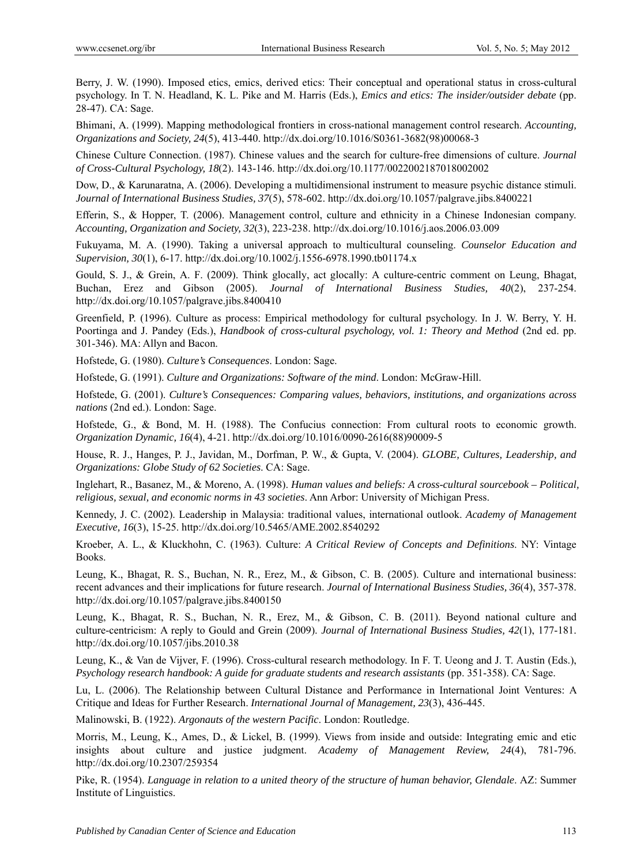Berry, J. W. (1990). Imposed etics, emics, derived etics: Their conceptual and operational status in cross-cultural psychology. In T. N. Headland, K. L. Pike and M. Harris (Eds.), *Emics and etics: The insider/outsider debate* (pp. 28-47). CA: Sage.

Bhimani, A. (1999). Mapping methodological frontiers in cross-national management control research. *Accounting, Organizations and Society, 24*(5), 413-440. http://dx.doi.org/10.1016/S0361-3682(98)00068-3

Chinese Culture Connection. (1987). Chinese values and the search for culture-free dimensions of culture. *Journal of Cross-Cultural Psychology, 18*(2). 143-146. http://dx.doi.org/10.1177/0022002187018002002

Dow, D., & Karunaratna, A. (2006). Developing a multidimensional instrument to measure psychic distance stimuli. *Journal of International Business Studies, 37*(5), 578-602. http://dx.doi.org/10.1057/palgrave.jibs.8400221

Efferin, S., & Hopper, T. (2006). Management control, culture and ethnicity in a Chinese Indonesian company. *Accounting, Organization and Society, 32*(3), 223-238. http://dx.doi.org/10.1016/j.aos.2006.03.009

Fukuyama, M. A. (1990). Taking a universal approach to multicultural counseling. *Counselor Education and Supervision, 30*(1), 6-17. http://dx.doi.org/10.1002/j.1556-6978.1990.tb01174.x

Gould, S. J., & Grein, A. F. (2009). Think glocally, act glocally: A culture-centric comment on Leung, Bhagat, Buchan, Erez and Gibson (2005). *Journal of International Business Studies, 40*(2), 237-254. http://dx.doi.org/10.1057/palgrave.jibs.8400410

Greenfield, P. (1996). Culture as process: Empirical methodology for cultural psychology. In J. W. Berry, Y. H. Poortinga and J. Pandey (Eds.), *Handbook of cross-cultural psychology, vol. 1: Theory and Method* (2nd ed. pp. 301-346). MA: Allyn and Bacon.

Hofstede, G. (1980). *Culture's Consequences*. London: Sage.

Hofstede, G. (1991). *Culture and Organizations: Software of the mind*. London: McGraw-Hill.

Hofstede, G. (2001). *Culture's Consequences: Comparing values, behaviors, institutions, and organizations across nations* (2nd ed.). London: Sage.

Hofstede, G., & Bond, M. H. (1988). The Confucius connection: From cultural roots to economic growth. *Organization Dynamic, 16*(4), 4-21. http://dx.doi.org/10.1016/0090-2616(88)90009-5

House, R. J., Hanges, P. J., Javidan, M., Dorfman, P. W., & Gupta, V. (2004). *GLOBE, Cultures, Leadership, and Organizations: Globe Study of 62 Societies*. CA: Sage.

Inglehart, R., Basanez, M., & Moreno, A. (1998). *Human values and beliefs: A cross-cultural sourcebook – Political, religious, sexual, and economic norms in 43 societies*. Ann Arbor: University of Michigan Press.

Kennedy, J. C. (2002). Leadership in Malaysia: traditional values, international outlook. *Academy of Management Executive, 16*(3), 15-25. http://dx.doi.org/10.5465/AME.2002.8540292

Kroeber, A. L., & Kluckhohn, C. (1963). Culture: *A Critical Review of Concepts and Definitions*. NY: Vintage Books.

Leung, K., Bhagat, R. S., Buchan, N. R., Erez, M., & Gibson, C. B. (2005). Culture and international business: recent advances and their implications for future research. *Journal of International Business Studies, 36*(4), 357-378. http://dx.doi.org/10.1057/palgrave.jibs.8400150

Leung, K., Bhagat, R. S., Buchan, N. R., Erez, M., & Gibson, C. B. (2011). Beyond national culture and culture-centricism: A reply to Gould and Grein (2009). *Journal of International Business Studies, 42*(1), 177-181. http://dx.doi.org/10.1057/jibs.2010.38

Leung, K., & Van de Vijver, F. (1996). Cross-cultural research methodology. In F. T. Ueong and J. T. Austin (Eds.), *Psychology research handbook: A guide for graduate students and research assistants* (pp. 351-358). CA: Sage.

Lu, L. (2006). The Relationship between Cultural Distance and Performance in International Joint Ventures: A Critique and Ideas for Further Research. *International Journal of Management, 23*(3), 436-445.

Malinowski, B. (1922). *Argonauts of the western Pacific*. London: Routledge.

Morris, M., Leung, K., Ames, D., & Lickel, B. (1999). Views from inside and outside: Integrating emic and etic insights about culture and justice judgment. *Academy of Management Review, 24*(4), 781-796. http://dx.doi.org/10.2307/259354

Pike, R. (1954). *Language in relation to a united theory of the structure of human behavior, Glendale*. AZ: Summer Institute of Linguistics.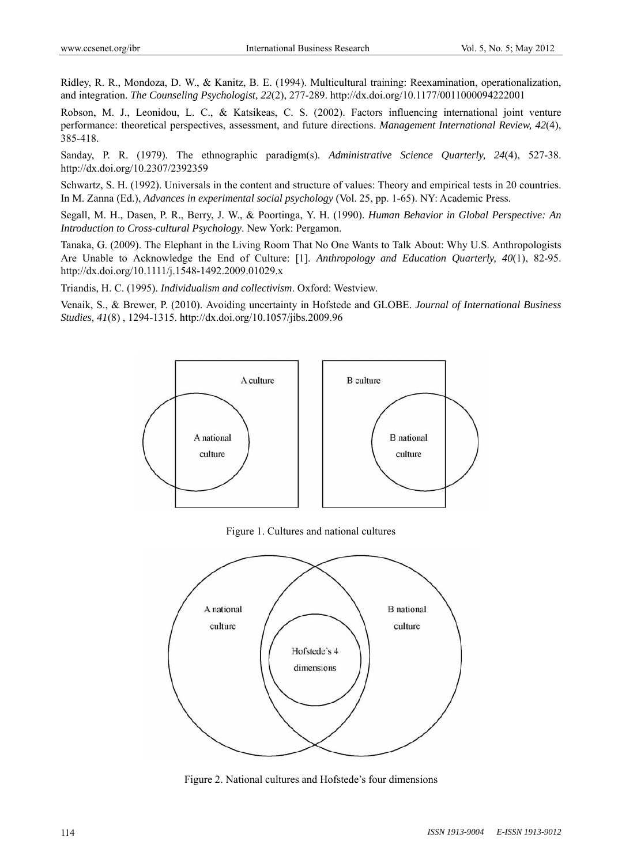Ridley, R. R., Mondoza, D. W., & Kanitz, B. E. (1994). Multicultural training: Reexamination, operationalization, and integration. *The Counseling Psychologist, 22*(2), 277-289. http://dx.doi.org/10.1177/0011000094222001

Robson, M. J., Leonidou, L. C., & Katsikeas, C. S. (2002). Factors influencing international joint venture performance: theoretical perspectives, assessment, and future directions. *Management International Review, 42*(4), 385-418.

Sanday, P. R. (1979). The ethnographic paradigm(s). *Administrative Science Quarterly, 24*(4), 527-38. http://dx.doi.org/10.2307/2392359

Schwartz, S. H. (1992). Universals in the content and structure of values: Theory and empirical tests in 20 countries. In M. Zanna (Ed.), *Advances in experimental social psychology* (Vol. 25, pp. 1-65). NY: Academic Press.

Segall, M. H., Dasen, P. R., Berry, J. W., & Poortinga, Y. H. (1990). *Human Behavior in Global Perspective: An Introduction to Cross-cultural Psychology*. New York: Pergamon.

Tanaka, G. (2009). The Elephant in the Living Room That No One Wants to Talk About: Why U.S. Anthropologists Are Unable to Acknowledge the End of Culture: [1]. *Anthropology and Education Quarterly, 40*(1), 82-95. http://dx.doi.org/10.1111/j.1548-1492.2009.01029.x

Triandis, H. C. (1995). *Individualism and collectivism*. Oxford: Westview.

Venaik, S., & Brewer, P. (2010). Avoiding uncertainty in Hofstede and GLOBE. *Journal of International Business Studies, 41*(8) , 1294-1315. http://dx.doi.org/10.1057/jibs.2009.96



Figure 1. Cultures and national cultures



Figure 2. National cultures and Hofstede's four dimensions